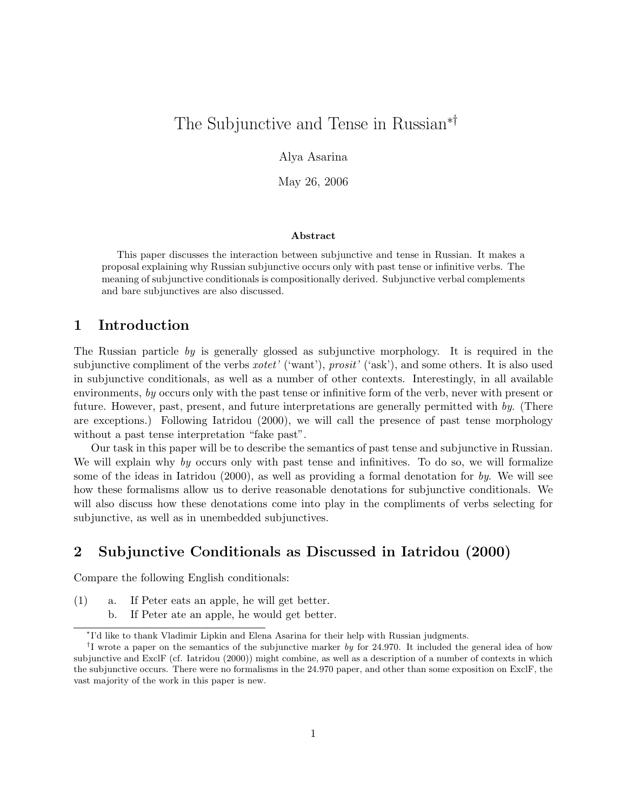# The Subjunctive and Tense in Russian∗†

Alya Asarina

May 26, 2006

#### Abstract

This paper discusses the interaction between subjunctive and tense in Russian. It makes a proposal explaining why Russian subjunctive occurs only with past tense or infinitive verbs. The meaning of subjunctive conditionals is compositionally derived. Subjunctive verbal complements and bare subjunctives are also discussed.

#### 1 Introduction

The Russian particle by is generally glossed as subjunctive morphology. It is required in the subjunctive compliment of the verbs xotet' ('want'), prosit' ('ask'), and some others. It is also used in subjunctive conditionals, as well as a number of other contexts. Interestingly, in all available environments, by occurs only with the past tense or infinitive form of the verb, never with present or future. However, past, present, and future interpretations are generally permitted with  $by$ . (There are exceptions.) Following Iatridou (2000), we will call the presence of past tense morphology without a past tense interpretation "fake past".

Our task in this paper will be to describe the semantics of past tense and subjunctive in Russian. We will explain why by occurs only with past tense and infinitives. To do so, we will formalize some of the ideas in Iatridou  $(2000)$ , as well as providing a formal denotation for by. We will see how these formalisms allow us to derive reasonable denotations for subjunctive conditionals. We will also discuss how these denotations come into play in the compliments of verbs selecting for subjunctive, as well as in unembedded subjunctives.

# 2 Subjunctive Conditionals as Discussed in Iatridou (2000)

Compare the following English conditionals:

- (1) a. If Peter eats an apple, he will get better.
	- b. If Peter ate an apple, he would get better.

<sup>∗</sup> I'd like to thank Vladimir Lipkin and Elena Asarina for their help with Russian judgments.

<sup>&</sup>lt;sup>†</sup>I wrote a paper on the semantics of the subjunctive marker by for 24.970. It included the general idea of how subjunctive and ExclF (cf. Iatridou (2000)) might combine, as well as a description of a number of contexts in which the subjunctive occurs. There were no formalisms in the 24.970 paper, and other than some exposition on ExclF, the vast majority of the work in this paper is new.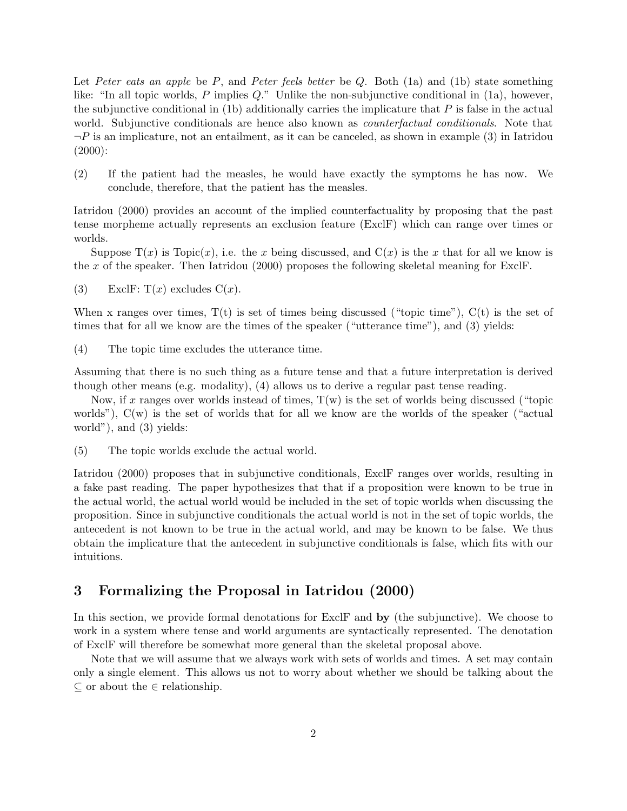Let Peter eats an apple be P, and Peter feels better be Q. Both  $(1a)$  and  $(1b)$  state something like: "In all topic worlds,  $P$  implies  $Q$ ." Unlike the non-subjunctive conditional in (1a), however, the subjunctive conditional in  $(1b)$  additionally carries the implicature that P is false in the actual world. Subjunctive conditionals are hence also known as *counterfactual conditionals*. Note that  $\neg P$  is an implicature, not an entailment, as it can be canceled, as shown in example (3) in Iatridou  $(2000)$ :

(2) If the patient had the measles, he would have exactly the symptoms he has now. We conclude, therefore, that the patient has the measles.

Iatridou (2000) provides an account of the implied counterfactuality by proposing that the past tense morpheme actually represents an exclusion feature (ExclF) which can range over times or worlds.

Suppose  $T(x)$  is Topic $(x)$ , i.e. the x being discussed, and  $C(x)$  is the x that for all we know is the x of the speaker. Then Iatridou (2000) proposes the following skeletal meaning for ExclF.

(3) ExclF:  $T(x)$  excludes  $C(x)$ .

When x ranges over times,  $T(t)$  is set of times being discussed ("topic time"),  $C(t)$  is the set of times that for all we know are the times of the speaker ("utterance time"), and (3) yields:

(4) The topic time excludes the utterance time.

Assuming that there is no such thing as a future tense and that a future interpretation is derived though other means (e.g. modality), (4) allows us to derive a regular past tense reading.

Now, if x ranges over worlds instead of times,  $T(w)$  is the set of worlds being discussed ("topic worlds"), C(w) is the set of worlds that for all we know are the worlds of the speaker ("actual world"), and (3) yields:

(5) The topic worlds exclude the actual world.

Iatridou (2000) proposes that in subjunctive conditionals, ExclF ranges over worlds, resulting in a fake past reading. The paper hypothesizes that that if a proposition were known to be true in the actual world, the actual world would be included in the set of topic worlds when discussing the proposition. Since in subjunctive conditionals the actual world is not in the set of topic worlds, the antecedent is not known to be true in the actual world, and may be known to be false. We thus obtain the implicature that the antecedent in subjunctive conditionals is false, which fits with our intuitions.

### 3 Formalizing the Proposal in Iatridou (2000)

In this section, we provide formal denotations for ExclF and by (the subjunctive). We choose to work in a system where tense and world arguments are syntactically represented. The denotation of ExclF will therefore be somewhat more general than the skeletal proposal above.

Note that we will assume that we always work with sets of worlds and times. A set may contain only a single element. This allows us not to worry about whether we should be talking about the  $\subseteq$  or about the  $\in$  relationship.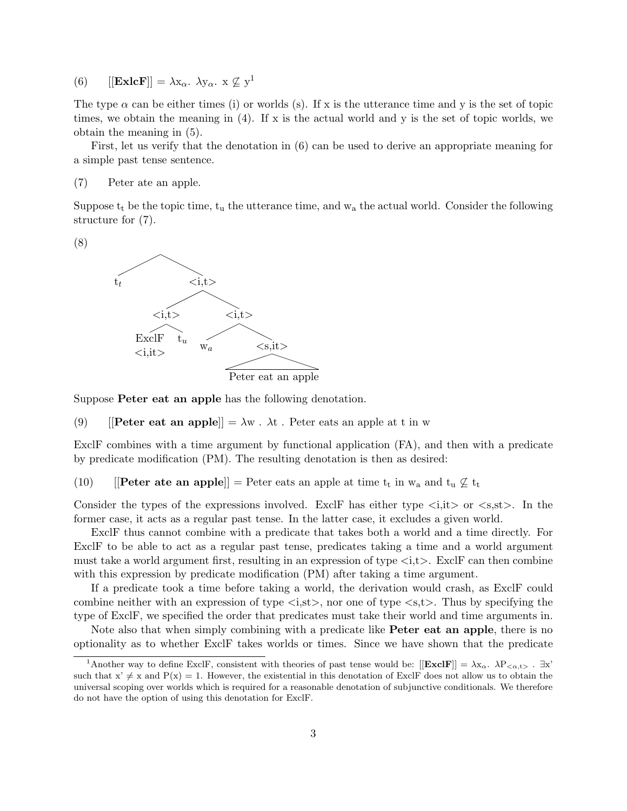(6)  $[[\mathbf{ExlcF}]] = \lambda x_{\alpha}$ .  $\lambda y_{\alpha}$ .  $x \not\subseteq y^1$ 

The type  $\alpha$  can be either times (i) or worlds (s). If x is the utterance time and y is the set of topic times, we obtain the meaning in (4). If x is the actual world and y is the set of topic worlds, we obtain the meaning in (5).

First, let us verify that the denotation in (6) can be used to derive an appropriate meaning for a simple past tense sentence.

(7) Peter ate an apple.

Suppose  $t_t$  be the topic time,  $t_u$  the utterance time, and  $w_a$  the actual world. Consider the following structure for (7).



Suppose Peter eat an apple has the following denotation.

(9) [Peter eat an apple]] =  $\lambda w \cdot \lambda t$ . Peter eats an apple at t in w

ExclF combines with a time argument by functional application (FA), and then with a predicate by predicate modification (PM). The resulting denotation is then as desired:

(10) [[Peter ate an apple]] = Peter eats an apple at time  $t_t$  in  $w_a$  and  $t_u \not\subseteq t_t$ 

Consider the types of the expressions involved. ExclF has either type  $\langle i, i \rangle$  or  $\langle s, st \rangle$ . In the former case, it acts as a regular past tense. In the latter case, it excludes a given world.

ExclF thus cannot combine with a predicate that takes both a world and a time directly. For ExclF to be able to act as a regular past tense, predicates taking a time and a world argument must take a world argument first, resulting in an expression of type  $\langle i, t \rangle$ . ExclF can then combine with this expression by predicate modification  $(PM)$  after taking a time argument.

If a predicate took a time before taking a world, the derivation would crash, as ExclF could combine neither with an expression of type  $\langle i, st \rangle$ , nor one of type  $\langle s, t \rangle$ . Thus by specifying the type of ExclF, we specified the order that predicates must take their world and time arguments in.

Note also that when simply combining with a predicate like **Peter eat an apple**, there is no optionality as to whether ExclF takes worlds or times. Since we have shown that the predicate

<sup>&</sup>lt;sup>1</sup>Another way to define ExclF, consistent with theories of past tense would be:  $[[\mathbf{ExclF}]] = \lambda x_{\alpha} \cdot \lambda P_{\leq \alpha, t>}$ .  $\exists x'$ such that  $x' \neq x$  and  $P(x) = 1$ . However, the existential in this denotation of ExclF does not allow us to obtain the universal scoping over worlds which is required for a reasonable denotation of subjunctive conditionals. We therefore do not have the option of using this denotation for ExclF.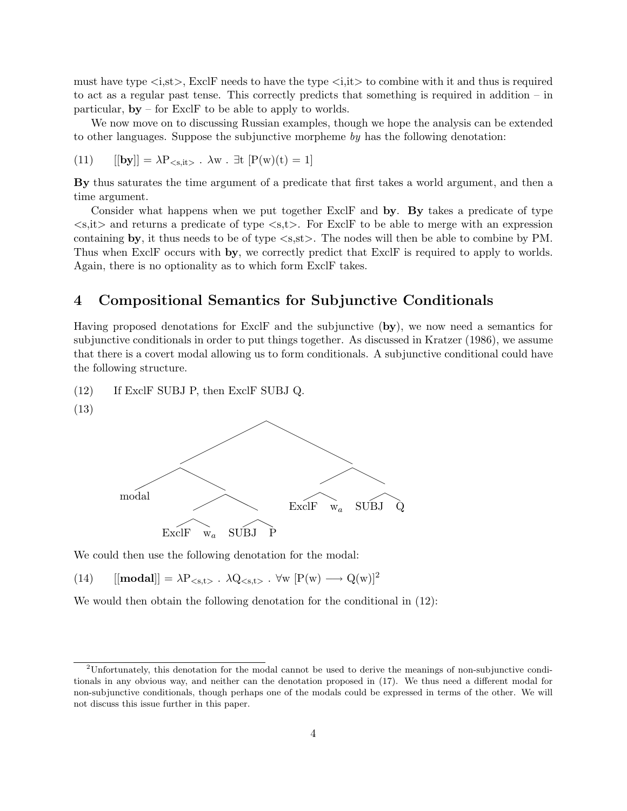must have type  $\langle i, st \rangle$ , ExclF needs to have the type  $\langle i, it \rangle$  to combine with it and thus is required to act as a regular past tense. This correctly predicts that something is required in addition – in particular,  $by - for ExclF$  to be able to apply to worlds.

We now move on to discussing Russian examples, though we hope the analysis can be extended to other languages. Suppose the subjunctive morpheme by has the following denotation:

(11) 
$$
[[by]] = \lambda P_{\leq s, it>} \cdot \lambda w \cdot \exists t [P(w)(t) = 1]
$$

By thus saturates the time argument of a predicate that first takes a world argument, and then a time argument.

Consider what happens when we put together ExclF and by. By takes a predicate of type  $\langle s, it \rangle$  and returns a predicate of type  $\langle s, t \rangle$ . For ExclF to be able to merge with an expression containing by, it thus needs to be of type  $\langle s, st \rangle$ . The nodes will then be able to combine by PM. Thus when ExclF occurs with by, we correctly predict that ExclF is required to apply to worlds. Again, there is no optionality as to which form ExclF takes.

#### 4 Compositional Semantics for Subjunctive Conditionals

Having proposed denotations for ExclF and the subjunctive (by), we now need a semantics for subjunctive conditionals in order to put things together. As discussed in Kratzer (1986), we assume that there is a covert modal allowing us to form conditionals. A subjunctive conditional could have the following structure.

(12) If ExclF SUBJ P, then ExclF SUBJ Q.

(13)



We could then use the following denotation for the modal:

(14)  $[[\text{modal}]] = \lambda P_{\leq s,t>}$ .  $\lambda Q_{\leq s,t>}$ .  $\forall w [P(w) \longrightarrow Q(w)]^2$ 

We would then obtain the following denotation for the conditional in  $(12)$ :

<sup>&</sup>lt;sup>2</sup>Unfortunately, this denotation for the modal cannot be used to derive the meanings of non-subjunctive conditionals in any obvious way, and neither can the denotation proposed in (17). We thus need a different modal for non-subjunctive conditionals, though perhaps one of the modals could be expressed in terms of the other. We will not discuss this issue further in this paper.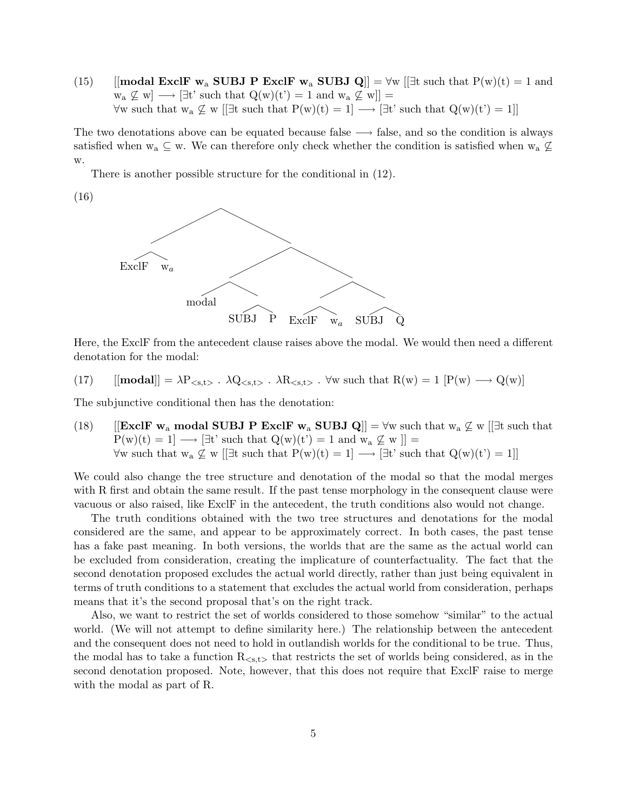(15) [[modal ExclF w<sub>a</sub> SUBJ P ExclF w<sub>a</sub> SUBJ Q]] =  $\forall w$  [[ $\exists t$  such that P(w)(t) = 1 and  $w_a \nsubseteq w$   $\longrightarrow$  [∃t' such that  $Q(w)(t') = 1$  and  $w_a \nsubseteq w$ ]] =  $\forall w$  such that  $w_a \nsubseteq w$  [[∃t such that P(w)(t) = 1] → [∃t' such that Q(w)(t') = 1]]

The two denotations above can be equated because false  $\longrightarrow$  false, and so the condition is always satisfied when w<sub>a</sub>  $\subseteq$  w. We can therefore only check whether the condition is satisfied when w<sub>a</sub>  $\nsubseteq$ w.

There is another possible structure for the conditional in (12).

(16)



Here, the ExclF from the antecedent clause raises above the modal. We would then need a different denotation for the modal:

(17) 
$$
[[\mathbf{modal}]] = \lambda P_{\langle s,t \rangle} \cdot \lambda Q_{\langle s,t \rangle} \cdot \lambda R_{\langle s,t \rangle} \cdot \forall w
$$
 such that  $R(w) = 1 [P(w) \longrightarrow Q(w)]$ 

The subjunctive conditional then has the denotation:

(18) [[ExclF w<sub>a</sub> modal SUBJ P ExclF w<sub>a</sub> SUBJ Q]] =  $\forall$ w such that w<sub>a</sub>  $\not\subseteq$  w [[∃t such that  $P(w)(t) = 1 \rightarrow \exists t'$  such that  $Q(w)(t') = 1$  and  $w_a \not\subseteq w$  $\forall w$  such that  $w_a \nsubseteq w$  [[ $\exists t$  such that P(w)(t) = 1] → [ $\exists t$ ' such that Q(w)(t') = 1]]

We could also change the tree structure and denotation of the modal so that the modal merges with R first and obtain the same result. If the past tense morphology in the consequent clause were vacuous or also raised, like ExclF in the antecedent, the truth conditions also would not change.

The truth conditions obtained with the two tree structures and denotations for the modal considered are the same, and appear to be approximately correct. In both cases, the past tense has a fake past meaning. In both versions, the worlds that are the same as the actual world can be excluded from consideration, creating the implicature of counterfactuality. The fact that the second denotation proposed excludes the actual world directly, rather than just being equivalent in terms of truth conditions to a statement that excludes the actual world from consideration, perhaps means that it's the second proposal that's on the right track.

Also, we want to restrict the set of worlds considered to those somehow "similar" to the actual world. (We will not attempt to define similarity here.) The relationship between the antecedent and the consequent does not need to hold in outlandish worlds for the conditional to be true. Thus, the modal has to take a function  $R_{\leq s,t>}$  that restricts the set of worlds being considered, as in the second denotation proposed. Note, however, that this does not require that ExclF raise to merge with the modal as part of R.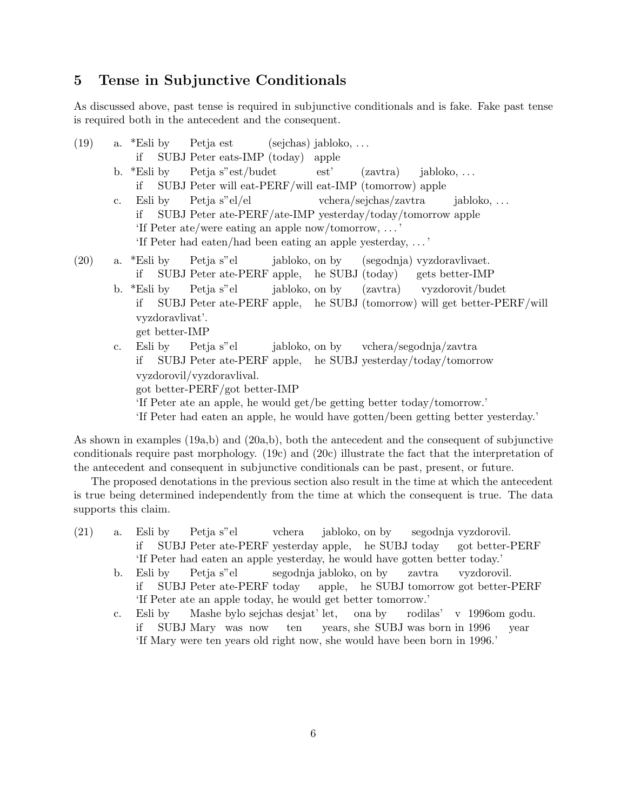# 5 Tense in Subjunctive Conditionals

As discussed above, past tense is required in subjunctive conditionals and is fake. Fake past tense is required both in the antecedent and the consequent.

| (19) |    | a. *Esli by Petja est (sejchas) jabloko,                                           |  |  |  |  |  |
|------|----|------------------------------------------------------------------------------------|--|--|--|--|--|
|      |    | if SUBJ Peter eats-IMP (today) apple                                               |  |  |  |  |  |
|      |    | b. *Esli by Petja s"est/budet est' (zavtra) jabloko,                               |  |  |  |  |  |
|      |    | if SUBJ Peter will eat-PERF/will eat-IMP (tomorrow) apple                          |  |  |  |  |  |
|      | c. | Esli by Petja s"el/el vchera/sejchas/zavtra jabloko,                               |  |  |  |  |  |
|      |    | SUBJ Peter ate-PERF/ate-IMP yesterday/today/tomorrow apple<br>if                   |  |  |  |  |  |
|      |    | 'If Peter ate/were eating an apple now/tomorrow, '                                 |  |  |  |  |  |
|      |    | 'If Peter had eaten/had been eating an apple yesterday, '                          |  |  |  |  |  |
| (20) |    | a. *Esli by Petja s"el jabloko, on by (segodnja) vyzdoravlivaet.                   |  |  |  |  |  |
|      |    | if SUBJ Peter ate-PERF apple, he SUBJ (today) gets better-IMP                      |  |  |  |  |  |
|      |    | b. *Esli by Petja s"el jabloko, on by (zavtra) vyzdorovit/budet                    |  |  |  |  |  |
|      |    | SUBJ Peter ate-PERF apple, he SUBJ (tomorrow) will get better-PERF/will<br>if      |  |  |  |  |  |
|      |    | vyzdoravlivat'.                                                                    |  |  |  |  |  |
|      |    | get better-IMP                                                                     |  |  |  |  |  |
|      |    | c. Esli by Petja s"el jabloko, on by vchera/segodnja/zavtra                        |  |  |  |  |  |
|      |    | if SUBJ Peter ate-PERF apple, he SUBJ yesterday/today/tomorrow                     |  |  |  |  |  |
|      |    | vyzdorovil/vyzdoravlival.                                                          |  |  |  |  |  |
|      |    | got better-PERF/got better-IMP                                                     |  |  |  |  |  |
|      |    | 'If Peter ate an apple, he would get/be getting better today/tomorrow.'            |  |  |  |  |  |
|      |    | 'If Peter had eaten an apple, he would have gotten/been getting better yesterday.' |  |  |  |  |  |

As shown in examples (19a,b) and (20a,b), both the antecedent and the consequent of subjunctive conditionals require past morphology. (19c) and (20c) illustrate the fact that the interpretation of the antecedent and consequent in subjunctive conditionals can be past, present, or future.

The proposed denotations in the previous section also result in the time at which the antecedent is true being determined independently from the time at which the consequent is true. The data supports this claim.

- $(21)$  a. if Esli by SUBJ Peter ate-PERF yesterday apple, Petja s"el vchera jabloko, on by he SUBJ today segodnja vyzdorovil. got better-PERF 'If Peter had eaten an apple yesterday, he would have gotten better today.'
	- b. Esli by if SUBJ Peter ate-PERF today Petja s"el segodnja jabloko, on by apple, he SUBJ tomorrow got better-PERF zavtra vyzdorovil. 'If Peter ate an apple today, he would get better tomorrow.'
	- c. Esli by if SUBJ Mary was now Mashe bylo sejchas desjat' let, ten years, she SUBJ was born in 1996 ona by rodilas' v 1996om godu. year 'If Mary were ten years old right now, she would have been born in 1996.'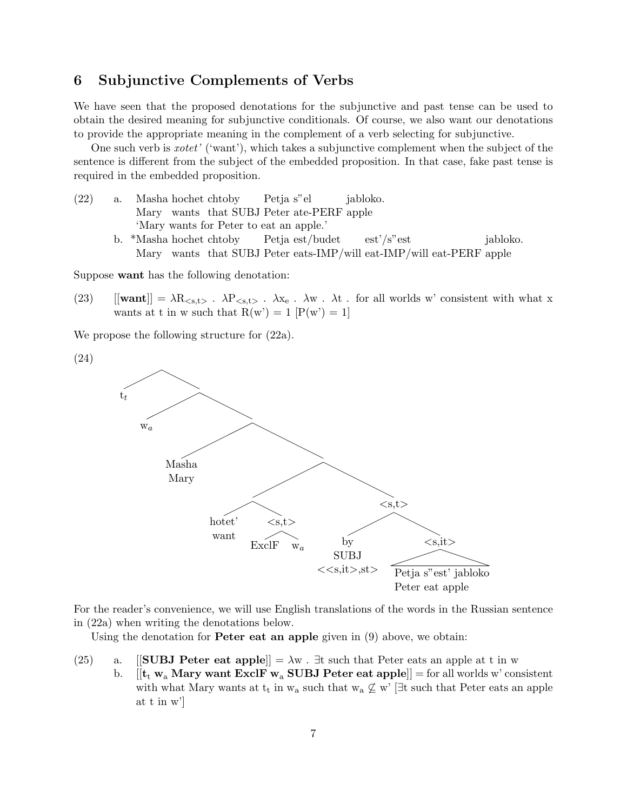### 6 Subjunctive Complements of Verbs

We have seen that the proposed denotations for the subjunctive and past tense can be used to obtain the desired meaning for subjunctive conditionals. Of course, we also want our denotations to provide the appropriate meaning in the complement of a verb selecting for subjunctive.

One such verb is xotet' ('want'), which takes a subjunctive complement when the subject of the sentence is different from the subject of the embedded proposition. In that case, fake past tense is required in the embedded proposition.

- (22) a. Masha hochet chtoby Mary wants that SUBJ Peter ate-PERF apple Petja s"el jabloko. 'Mary wants for Peter to eat an apple.'
	- b. \*Masha hochet chtoby Mary wants that SUBJ Peter eats-IMP/will eat-IMP/will eat-PERF apple Petja est/budet est'/s"est jabloko.

Suppose want has the following denotation:

(23)  $[$ [want]] =  $\lambda R_{\leq s,t>}$ .  $\lambda P_{\leq s,t>}$ .  $\lambda x_e$ .  $\lambda w$ .  $\lambda t$ . for all worlds w' consistent with what x wants at t in w such that  $R(w') = 1$   $[P(w') = 1]$ 

We propose the following structure for  $(22a)$ .



For the reader's convenience, we will use English translations of the words in the Russian sentence in (22a) when writing the denotations below.

Using the denotation for **Peter eat an apple** given in  $(9)$  above, we obtain:

- (25) a. [[SUBJ Peter eat apple]] =  $\lambda$ w.  $\exists$ t such that Peter eats an apple at t in w
	- b.  $[(t_{t} w_{a} \text{ Mary want} \text{ Ext}] \cdot \text{Ext} \cdot \text{Ext} \cdot \text{Ext} \cdot \text{Ext} \cdot \text{Ext} \cdot \text{Ext} \cdot \text{Ext} \cdot \text{Ext} \cdot \text{Ext} \cdot \text{Ext} \cdot \text{Ext} \cdot \text{Ext} \cdot \text{Ext} \cdot \text{Ext} \cdot \text{Ext} \cdot \text{Ext} \cdot \text{Ext} \cdot \text{Ext} \cdot \text{Ext} \cdot \text{Ext} \cdot \text{Ext} \cdot \text{Ext} \cdot \text{Ext} \cdot \text{Ext} \cdot \text{Ext} \cdot \text{Ext} \cdot \text{Ext} \cdot \text{Ext} \$ with what Mary wants at  $t_t$  in  $w_a$  such that  $w_a \nsubseteq w'$  [∃t such that Peter eats an apple at t in w']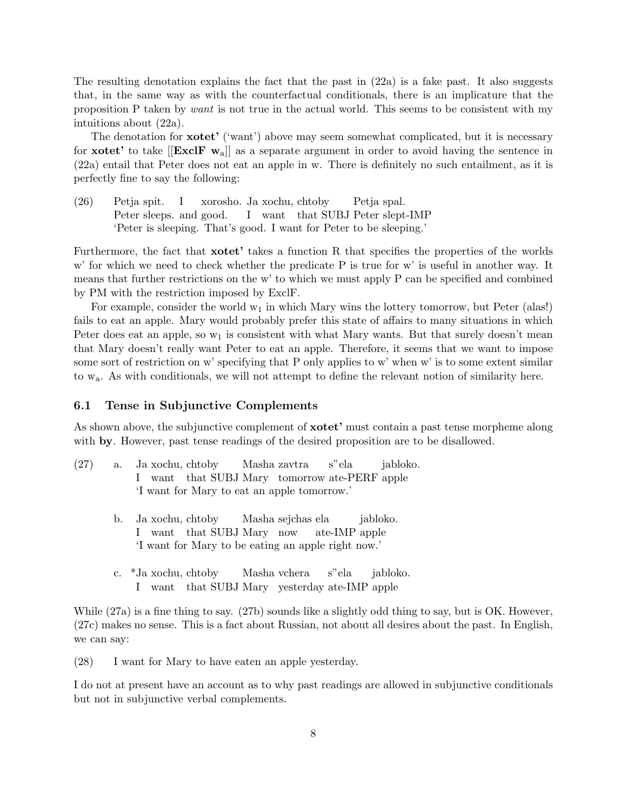The resulting denotation explains the fact that the past in (22a) is a fake past. It also suggests that, in the same way as with the counterfactual conditionals, there is an implicature that the proposition P taken by want is not true in the actual world. This seems to be consistent with my intuitions about (22a).

The denotation for **xotet'** ('want') above may seem somewhat complicated, but it is necessary for **xotet'** to take  $[[\text{ExclF } w_a]]$  as a separate argument in order to avoid having the sentence in (22a) entail that Peter does not eat an apple in w. There is definitely no such entailment, as it is perfectly fine to say the following:

(26) Petja spit. Peter sleeps. and good. I xorosho. Ja xochu, chtoby I want that SUBJ Peter slept-IMP Petja spal. 'Peter is sleeping. That's good. I want for Peter to be sleeping.'

Furthermore, the fact that **xotet**' takes a function R that specifies the properties of the worlds w' for which we need to check whether the predicate P is true for w' is useful in another way. It means that further restrictions on the w' to which we must apply P can be specified and combined by PM with the restriction imposed by ExclF.

For example, consider the world  $w_1$  in which Mary wins the lottery tomorrow, but Peter (alas!) fails to eat an apple. Mary would probably prefer this state of affairs to many situations in which Peter does eat an apple, so  $w_1$  is consistent with what Mary wants. But that surely doesn't mean that Mary doesn't really want Peter to eat an apple. Therefore, it seems that we want to impose some sort of restriction on w' specifying that P only applies to w' when w' is to some extent similar to wa. As with conditionals, we will not attempt to define the relevant notion of similarity here.

#### 6.1 Tense in Subjunctive Complements

As shown above, the subjunctive complement of **xotet'** must contain a past tense morpheme along with by. However, past tense readings of the desired proposition are to be disallowed.

- $(27)$  a. I want that SUBJ Mary tomorrow ate-PERF apple xochu, chtoby Masha zavtra s"ela jabloko. 'I want for Mary to eat an apple tomorrow.'
	- b. Ja xochu, chtoby I want that SUBJ Mary now Masha sejchas ela ate-IMP apple jabloko. 'I want for Mary to be eating an apple right now.'
	- c. \*Ja xochu, chtoby I want that SUBJ Mary yesterday ate-IMP apple Masha vchera s"ela jabloko.

While (27a) is a fine thing to say. (27b) sounds like a slightly odd thing to say, but is OK. However, (27c) makes no sense. This is a fact about Russian, not about all desires about the past. In English, we can say:

(28) I want for Mary to have eaten an apple yesterday.

I do not at present have an account as to why past readings are allowed in subjunctive conditionals but not in subjunctive verbal complements.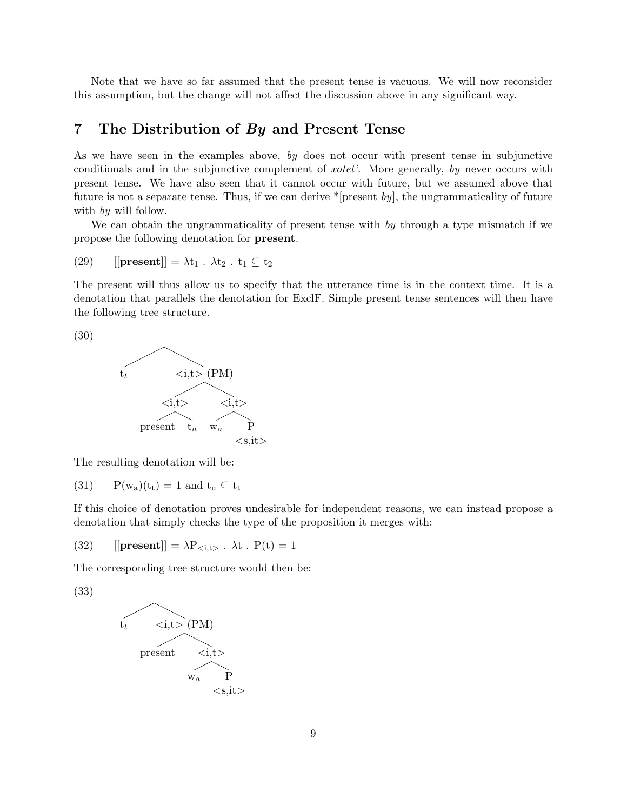Note that we have so far assumed that the present tense is vacuous. We will now reconsider this assumption, but the change will not affect the discussion above in any significant way.

# 7 The Distribution of  $By$  and Present Tense

As we have seen in the examples above, by does not occur with present tense in subjunctive conditionals and in the subjunctive complement of *xotet'*. More generally, by never occurs with present tense. We have also seen that it cannot occur with future, but we assumed above that future is not a separate tense. Thus, if we can derive \*[present by], the ungrammaticality of future with by will follow.

We can obtain the ungrammaticality of present tense with by through a type mismatch if we propose the following denotation for present.

(29) 
$$
[[\mathbf{present}]] = \lambda t_1 \cdot \lambda t_2 \cdot t_1 \subseteq t_2
$$

The present will thus allow us to specify that the utterance time is in the context time. It is a denotation that parallels the denotation for ExclF. Simple present tense sentences will then have the following tree structure.

(30)



The resulting denotation will be:

$$
(31) \qquad P(w_a)(t_t) = 1 \text{ and } t_u \subseteq t_t
$$

If this choice of denotation proves undesirable for independent reasons, we can instead propose a denotation that simply checks the type of the proposition it merges with:

(32) 
$$
[[\mathbf{present}]] = \lambda P_{\langle i,t \rangle} \cdot \lambda t \cdot P(t) = 1
$$

The corresponding tree structure would then be:

(33)

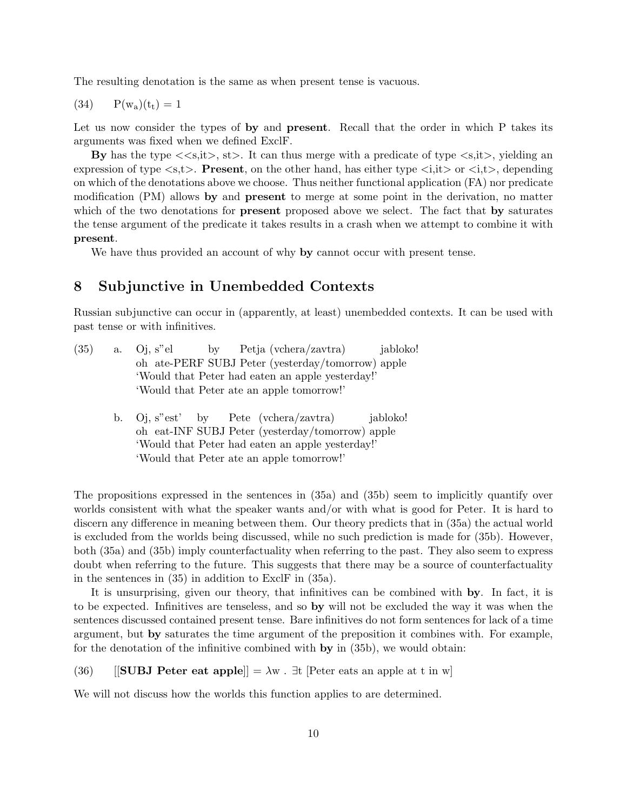The resulting denotation is the same as when present tense is vacuous.

(34)  $P(w_a)(t_t) = 1$ 

Let us now consider the types of by and **present**. Recall that the order in which P takes its arguments was fixed when we defined ExclF.

By has the type  $\langle \langle s, t \rangle, st \rangle$ . It can thus merge with a predicate of type  $\langle s, t \rangle$ , yielding an expression of type  $\langle s,t \rangle$ . Present, on the other hand, has either type  $\langle i,t \rangle$  or  $\langle i,t \rangle$ , depending on which of the denotations above we choose. Thus neither functional application (FA) nor predicate modification (PM) allows by and present to merge at some point in the derivation, no matter which of the two denotations for present proposed above we select. The fact that by saturates the tense argument of the predicate it takes results in a crash when we attempt to combine it with present.

We have thus provided an account of why by cannot occur with present tense.

# 8 Subjunctive in Unembedded Contexts

Russian subjunctive can occur in (apparently, at least) unembedded contexts. It can be used with past tense or with infinitives.

| (35) | a. Oj, s"el | by Petja (vchera/zavtra)                          | jabloko! |
|------|-------------|---------------------------------------------------|----------|
|      |             | oh ate-PERF SUBJ Peter (yesterday/tomorrow) apple |          |
|      |             | 'Would that Peter had eaten an apple yesterday!'  |          |
|      |             | 'Would that Peter ate an apple tomorrow!'         |          |
|      |             |                                                   |          |

b. Oj, s"est' oh eat-INF SUBJ Peter (yesterday/tomorrow) apple by Pete (vchera/zavtra) jabloko! 'Would that Peter had eaten an apple yesterday!' 'Would that Peter ate an apple tomorrow!'

The propositions expressed in the sentences in (35a) and (35b) seem to implicitly quantify over worlds consistent with what the speaker wants and/or with what is good for Peter. It is hard to discern any difference in meaning between them. Our theory predicts that in (35a) the actual world is excluded from the worlds being discussed, while no such prediction is made for (35b). However, both (35a) and (35b) imply counterfactuality when referring to the past. They also seem to express doubt when referring to the future. This suggests that there may be a source of counterfactuality in the sentences in (35) in addition to ExclF in (35a).

It is unsurprising, given our theory, that infinitives can be combined with by. In fact, it is to be expected. Infinitives are tenseless, and so by will not be excluded the way it was when the sentences discussed contained present tense. Bare infinitives do not form sentences for lack of a time argument, but by saturates the time argument of the preposition it combines with. For example, for the denotation of the infinitive combined with by in (35b), we would obtain:

(36) [[SUBJ Peter eat apple]] =  $\lambda$ w.  $\exists$ t [Peter eats an apple at t in w]

We will not discuss how the worlds this function applies to are determined.